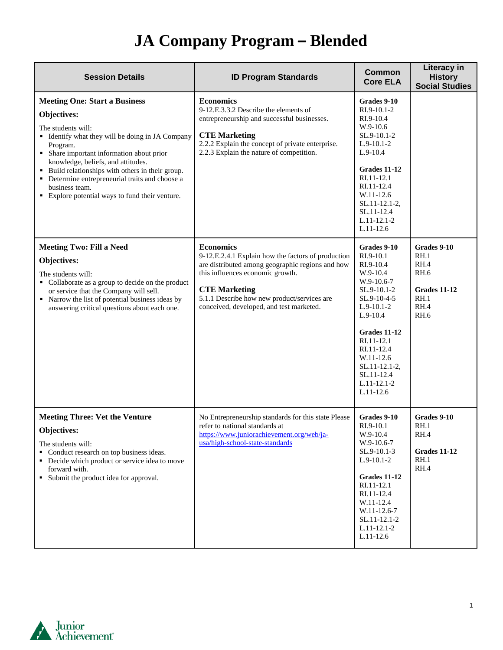| <b>Session Details</b>                                                                                                                                                                                                                                                                                                                                                                                    | <b>ID Program Standards</b>                                                                                                                                                                                                                                                       | <b>Common</b><br><b>Core ELA</b>                                                                                                                                                                                                                          | Literacy in<br><b>History</b><br><b>Social Studies</b>                                           |
|-----------------------------------------------------------------------------------------------------------------------------------------------------------------------------------------------------------------------------------------------------------------------------------------------------------------------------------------------------------------------------------------------------------|-----------------------------------------------------------------------------------------------------------------------------------------------------------------------------------------------------------------------------------------------------------------------------------|-----------------------------------------------------------------------------------------------------------------------------------------------------------------------------------------------------------------------------------------------------------|--------------------------------------------------------------------------------------------------|
| <b>Meeting One: Start a Business</b><br>Objectives:<br>The students will:<br>• Identify what they will be doing in JA Company<br>Program.<br>• Share important information about prior<br>knowledge, beliefs, and attitudes.<br>• Build relationships with others in their group.<br>• Determine entrepreneurial traits and choose a<br>business team.<br>• Explore potential ways to fund their venture. | <b>Economics</b><br>9-12.E.3.3.2 Describe the elements of<br>entrepreneurship and successful businesses.<br><b>CTE Marketing</b><br>2.2.2 Explain the concept of private enterprise.<br>2.2.3 Explain the nature of competition.                                                  | Grades 9-10<br>RI.9-10.1-2<br>RI.9-10.4<br>W.9-10.6<br>SL.9-10.1-2<br>$L.9-10.1-2$<br>$L.9-10.4$<br>Grades 11-12<br>RI.11-12.1<br>RI.11-12.4<br>W.11-12.6<br>SL.11-12.1-2,<br>SL.11-12.4<br>$L.11-12.1-2$<br>$L.11-12.6$                                  |                                                                                                  |
| <b>Meeting Two: Fill a Need</b><br>Objectives:<br>The students will:<br>• Collaborate as a group to decide on the product<br>or service that the Company will sell.<br>• Narrow the list of potential business ideas by<br>answering critical questions about each one.                                                                                                                                   | <b>Economics</b><br>9-12.E.2.4.1 Explain how the factors of production<br>are distributed among geographic regions and how<br>this influences economic growth.<br><b>CTE Marketing</b><br>5.1.1 Describe how new product/services are<br>conceived, developed, and test marketed. | Grades 9-10<br>RI.9-10.1<br>RI.9-10.4<br>W.9-10.4<br>$W.9-10.6-7$<br>SL.9-10.1-2<br>SL.9-10-4-5<br>$L.9-10.1-2$<br>$L.9-10.4$<br>Grades 11-12<br>RI.11-12.1<br>RI.11-12.4<br>W.11-12.6<br>SL.11-12.1-2,<br>SL.11-12.4<br>$L.11 - 12.1 - 2$<br>$L.11-12.6$ | Grades 9-10<br>RH.1<br>RH.4<br><b>RH.6</b><br><b>Grades 11-12</b><br>RH.1<br>RH.4<br><b>RH.6</b> |
| <b>Meeting Three: Vet the Venture</b><br>Objectives:<br>The students will:<br>• Conduct research on top business ideas.<br>• Decide which product or service idea to move<br>forward with.<br>• Submit the product idea for approval.                                                                                                                                                                     | No Entrepreneurship standards for this state Please<br>refer to national standards at<br>https://www.juniorachievement.org/web/ja-<br>usa/high-school-state-standards                                                                                                             | Grades 9-10<br>RI.9-10.1<br>W.9-10.4<br>W.9-10.6-7<br>SL.9-10.1-3<br>$L.9-10.1-2$<br>Grades 11-12<br>RI.11-12.1<br>RI.11-12.4<br>W.11-12.4<br>W.11-12.6-7<br>SL.11-12.1-2<br>L.11-12.1-2<br>$L.11-12.6$                                                   | Grades 9-10<br>RH.1<br>RH.4<br><b>Grades 11-12</b><br>RH.1<br>RH.4                               |

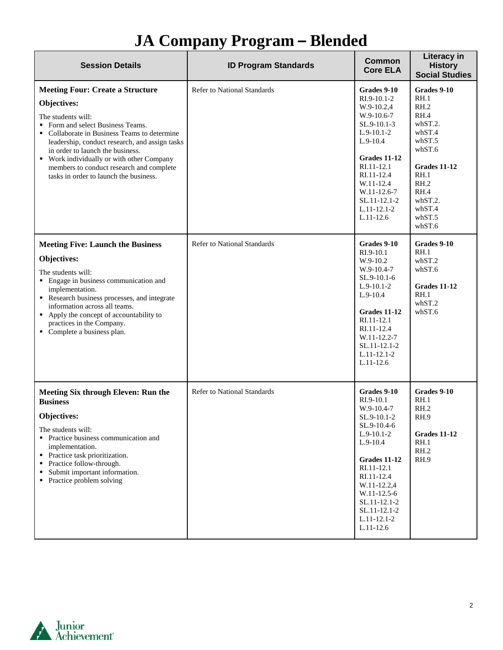| <b>Session Details</b>                                                                                                                                                                                                                                                                                                                                                                   | <b>ID Program Standards</b>        | Common<br><b>Core ELA</b>                                                                                                                                                                                                                    | Literacy in<br><b>History</b><br><b>Social Studies</b>                                                                                                               |
|------------------------------------------------------------------------------------------------------------------------------------------------------------------------------------------------------------------------------------------------------------------------------------------------------------------------------------------------------------------------------------------|------------------------------------|----------------------------------------------------------------------------------------------------------------------------------------------------------------------------------------------------------------------------------------------|----------------------------------------------------------------------------------------------------------------------------------------------------------------------|
| <b>Meeting Four: Create a Structure</b><br>Objectives:<br>The students will:<br>Form and select Business Teams.<br>• Collaborate in Business Teams to determine<br>leadership, conduct research, and assign tasks<br>in order to launch the business.<br>• Work individually or with other Company<br>members to conduct research and complete<br>tasks in order to launch the business. | <b>Refer to National Standards</b> | Grades 9-10<br>RI.9-10.1-2<br>W.9-10.2,4<br>W.9-10.6-7<br>SL.9-10.1-3<br>$L.9-10.1-2$<br>$L.9-10.4$<br>Grades 11-12<br>RI.11-12.1<br>RI.11-12.4<br>W.11-12.4<br>W.11-12.6-7<br>SL.11-12.1-2<br>$L.11-12.1-2$<br>$L.11-12.6$                  | Grades 9-10<br>RH.1<br>RH.2<br>RH.4<br>whST.2.<br>whST.4<br>whST.5<br>whST.6<br><b>Grades 11-12</b><br>RH.1<br>RH.2<br>RH.4<br>whST.2.<br>whST.4<br>whST.5<br>whST.6 |
| <b>Meeting Five: Launch the Business</b><br>Objectives:<br>The students will:<br>• Engage in business communication and<br>implementation.<br>Research business processes, and integrate<br>information across all teams.<br>• Apply the concept of accountability to<br>practices in the Company.<br>• Complete a business plan.                                                        | <b>Refer to National Standards</b> | Grades 9-10<br>RI.9-10.1<br>W.9-10.2<br>$W.9-10.4-7$<br>SL.9-10.1-6<br>$L.9-10.1-2$<br>$L.9-10.4$<br>Grades 11-12<br>RI.11-12.1<br>RI.11-12.4<br>W.11-12.2-7<br>SL.11-12.1-2<br>$L.11-12.1-2$<br>$L.11-12.6$                                 | Grades 9-10<br>RH.1<br>whST.2<br>whST.6<br>Grades 11-12<br>RH.1<br>whST.2<br>whST.6                                                                                  |
| Meeting Six through Eleven: Run the<br><b>Business</b><br>Objectives:<br>The students will:<br>• Practice business communication and<br>implementation.<br>• Practice task prioritization.<br>Practice follow-through.<br>Submit important information.<br>٠<br>• Practice problem solving                                                                                               | <b>Refer to National Standards</b> | Grades 9-10<br>RI.9-10.1<br>W.9-10.4-7<br>SL.9-10.1-2<br>SL.9-10.4-6<br>$L.9-10.1-2$<br>$L.9 - 10.4$<br>Grades 11-12<br>RI.11-12.1<br>RI.11-12.4<br>W.11-12.2,4<br>W.11-12.5-6<br>SL.11-12.1-2<br>SL.11-12.1-2<br>$L.11-12.1-2$<br>L.11-12.6 | Grades 9-10<br>RH.1<br>RH.2<br>RH.9<br><b>Grades 11-12</b><br>RH.1<br>RH.2<br>RH.9                                                                                   |

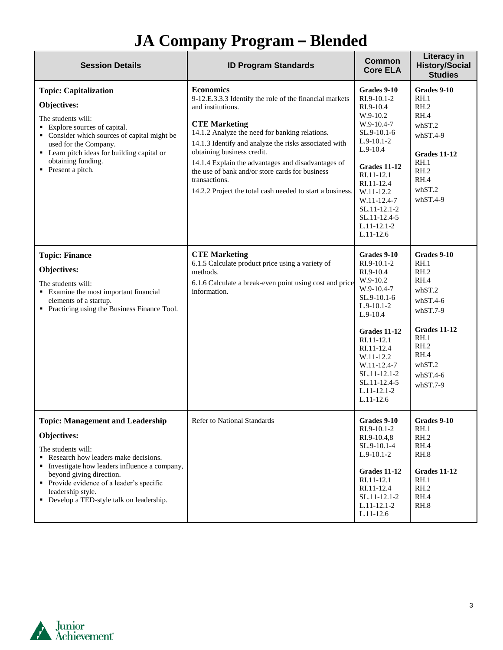| <b>Session Details</b>                                                                                                                                                                                                                                                                                          | <b>ID Program Standards</b>                                                                                                                                                                                                                                                                                                                                                                                                                              | <b>Common</b><br><b>Core ELA</b>                                                                                                                                                                                                                              | <b>Literacy in</b><br><b>History/Social</b><br><b>Studies</b>                                                                                           |
|-----------------------------------------------------------------------------------------------------------------------------------------------------------------------------------------------------------------------------------------------------------------------------------------------------------------|----------------------------------------------------------------------------------------------------------------------------------------------------------------------------------------------------------------------------------------------------------------------------------------------------------------------------------------------------------------------------------------------------------------------------------------------------------|---------------------------------------------------------------------------------------------------------------------------------------------------------------------------------------------------------------------------------------------------------------|---------------------------------------------------------------------------------------------------------------------------------------------------------|
| <b>Topic: Capitalization</b><br>Objectives:<br>The students will:<br>■ Explore sources of capital.<br>• Consider which sources of capital might be<br>used for the Company.<br>• Learn pitch ideas for building capital or<br>obtaining funding.<br>• Present a pitch.                                          | <b>Economics</b><br>9-12.E.3.3.3 Identify the role of the financial markets<br>and institutions.<br><b>CTE Marketing</b><br>14.1.2 Analyze the need for banking relations.<br>14.1.3 Identify and analyze the risks associated with<br>obtaining business credit.<br>14.1.4 Explain the advantages and disadvantages of<br>the use of bank and/or store cards for business<br>transactions.<br>14.2.2 Project the total cash needed to start a business. | Grades 9-10<br>RI.9-10.1-2<br>RI.9-10.4<br>W.9-10.2<br>W.9-10.4-7<br>SL.9-10.1-6<br>$L.9-10.1-2$<br>$L.9-10.4$<br><b>Grades 11-12</b><br>RI.11-12.1<br>RI.11-12.4<br>W.11-12.2<br>W.11-12.4-7<br>SL.11-12.1-2<br>SL.11-12.4-5<br>$L.11-12.1-2$<br>$L.11-12.6$ | Grades 9-10<br>RH.1<br>RH.2<br>RH.4<br>whST.2<br>$whST.4-9$<br>Grades 11-12<br>RH.1<br>RH.2<br>RH.4<br>whST.2<br>$whST.4-9$                             |
| <b>Topic: Finance</b><br>Objectives:<br>The students will:<br>• Examine the most important financial<br>elements of a startup.<br>• Practicing using the Business Finance Tool.                                                                                                                                 | <b>CTE Marketing</b><br>6.1.5 Calculate product price using a variety of<br>methods.<br>6.1.6 Calculate a break-even point using cost and price<br>information.                                                                                                                                                                                                                                                                                          | Grades 9-10<br>RI.9-10.1-2<br>RI.9-10.4<br>W.9-10.2<br>$W.9-10.4-7$<br>SL.9-10.1-6<br>$L.9-10.1-2$<br>$L.9-10.4$<br>Grades 11-12<br>RI.11-12.1<br>RI.11-12.4<br>W.11-12.2<br>W.11-12.4-7<br>SL.11-12.1-2<br>SL.11-12.4-5<br>$L.11-12.1-2$<br>$L.11-12.6$      | Grades 9-10<br>RH.1<br>RH.2<br>RH.4<br>whST.2<br>$whST.4-6$<br>$whST.7-9$<br>Grades 11-12<br>RH.1<br>RH.2<br>RH.4<br>whST.2<br>$whST.4-6$<br>$whST.7-9$ |
| <b>Topic: Management and Leadership</b><br>Objectives:<br>The students will:<br>Research how leaders make decisions.<br>Investigate how leaders influence a company,<br>beyond giving direction.<br>• Provide evidence of a leader's specific<br>leadership style.<br>• Develop a TED-style talk on leadership. | Refer to National Standards                                                                                                                                                                                                                                                                                                                                                                                                                              | Grades 9-10<br>$RI.9-10.1-2$<br>RI.9-10.4,8<br>SL.9-10.1-4<br>$L.9-10.1-2$<br>Grades 11-12<br>RI.11-12.1<br>RI.11-12.4<br>SL.11-12.1-2<br>$L.11-12.1-2$<br>$L.11-12.6$                                                                                        | Grades 9-10<br>RH.1<br>RH.2<br>RH.4<br>RH.8<br><b>Grades 11-12</b><br>RH.1<br>RH.2<br>RH.4<br>RH.8                                                      |

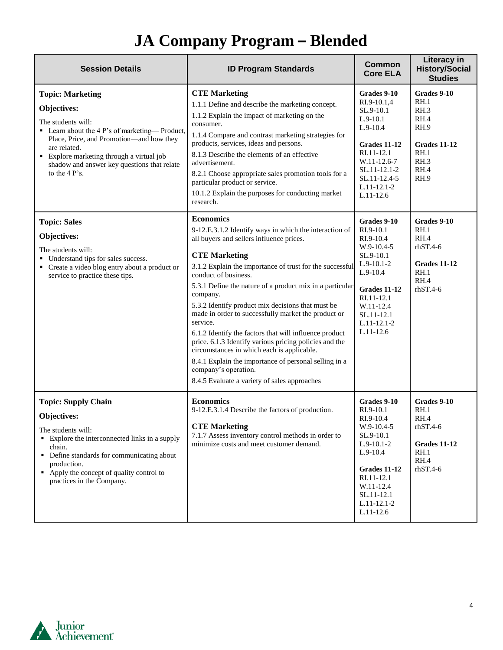| <b>Session Details</b>                                                                                                                                                                                                                                                                   | <b>ID Program Standards</b>                                                                                                                                                                                                                                                                                                                                                                                                                                                                                                                                                                                                                                                                                                           | Common<br><b>Core ELA</b>                                                                                                                                                               | <b>Literacy in</b><br><b>History/Social</b><br><b>Studies</b>                                             |
|------------------------------------------------------------------------------------------------------------------------------------------------------------------------------------------------------------------------------------------------------------------------------------------|---------------------------------------------------------------------------------------------------------------------------------------------------------------------------------------------------------------------------------------------------------------------------------------------------------------------------------------------------------------------------------------------------------------------------------------------------------------------------------------------------------------------------------------------------------------------------------------------------------------------------------------------------------------------------------------------------------------------------------------|-----------------------------------------------------------------------------------------------------------------------------------------------------------------------------------------|-----------------------------------------------------------------------------------------------------------|
| <b>Topic: Marketing</b><br>Objectives:<br>The students will:<br>• Learn about the 4 P's of marketing—Product,<br>Place, Price, and Promotion-and how they<br>are related.<br>• Explore marketing through a virtual job<br>shadow and answer key questions that relate<br>to the $4P$ 's. | <b>CTE Marketing</b><br>1.1.1 Define and describe the marketing concept.<br>1.1.2 Explain the impact of marketing on the<br>consumer.<br>1.1.4 Compare and contrast marketing strategies for<br>products, services, ideas and persons.<br>8.1.3 Describe the elements of an effective<br>advertisement.<br>8.2.1 Choose appropriate sales promotion tools for a<br>particular product or service.<br>10.1.2 Explain the purposes for conducting market<br>research.                                                                                                                                                                                                                                                                   | Grades 9-10<br>RI.9-10.1,4<br>SL.9-10.1<br>$L.9-10.1$<br>$L.9-10.4$<br>Grades 11-12<br>RI.11-12.1<br>W.11-12.6-7<br>SL.11-12.1-2<br>SL.11-12.4-5<br>$L.11-12.1-2$<br>$L.11-12.6$        | Grades 9-10<br>RH.1<br>RH.3<br>RH.4<br><b>RH.9</b><br><b>Grades 11-12</b><br>RH.1<br>RH.3<br>RH.4<br>RH.9 |
| <b>Topic: Sales</b><br>Objectives:<br>The students will:<br>Understand tips for sales success.<br>• Create a video blog entry about a product or<br>service to practice these tips.                                                                                                      | <b>Economics</b><br>9-12.E.3.1.2 Identify ways in which the interaction of<br>all buyers and sellers influence prices.<br><b>CTE Marketing</b><br>3.1.2 Explain the importance of trust for the successful<br>conduct of business.<br>5.3.1 Define the nature of a product mix in a particular<br>company.<br>5.3.2 Identify product mix decisions that must be<br>made in order to successfully market the product or<br>service.<br>6.1.2 Identify the factors that will influence product<br>price. 6.1.3 Identify various pricing policies and the<br>circumstances in which each is applicable.<br>8.4.1 Explain the importance of personal selling in a<br>company's operation.<br>8.4.5 Evaluate a variety of sales approaches | Grades 9-10<br>RI.9-10.1<br>RI.9-10.4<br>W.9-10.4-5<br>SL.9-10.1<br>$L.9-10.1-2$<br>$L.9-10.4$<br>Grades 11-12<br>RI.11-12.1<br>W.11-12.4<br>SL.11-12.1<br>$L.11-12.1-2$<br>$L.11-12.6$ | Grades 9-10<br>RH.1<br>RH.4<br>$r$ hST.4-6<br>Grades 11-12<br>RH.1<br>RH.4<br>$r$ hST.4-6                 |
| <b>Topic: Supply Chain</b><br>Objectives:<br>The students will:<br>• Explore the interconnected links in a supply<br>chain.<br>• Define standards for communicating about<br>production.<br>$\blacksquare$ Apply the concept of quality control to<br>practices in the Company.          | <b>Economics</b><br>9-12.E.3.1.4 Describe the factors of production.<br><b>CTE Marketing</b><br>7.1.7 Assess inventory control methods in order to<br>minimize costs and meet customer demand.                                                                                                                                                                                                                                                                                                                                                                                                                                                                                                                                        | Grades 9-10<br>RI.9-10.1<br>RI.9-10.4<br>W.9-10.4-5<br>SL.9-10.1<br>$L.9-10.1-2$<br>$L.9-10.4$<br>Grades 11-12<br>RI.11-12.1<br>W.11-12.4<br>SL.11-12.1<br>$L.11-12.1-2$<br>$L.11-12.6$ | Grades 9-10<br>RH.1<br>RH.4<br>$r$ hST.4-6<br>Grades 11-12<br>RH.1<br>RH.4<br>$r$ hST.4-6                 |